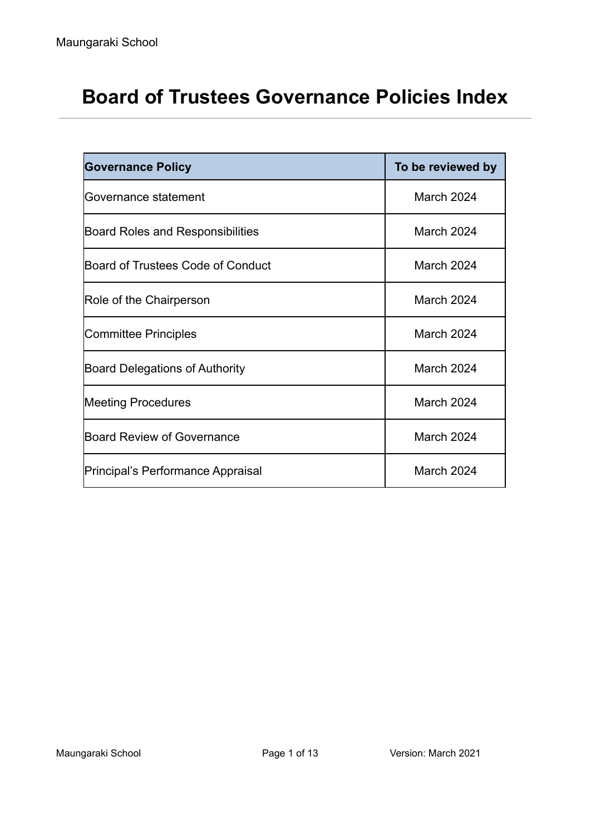# **Board of Trustees Governance Policies Index**

| <b>Governance Policy</b>                | To be reviewed by |
|-----------------------------------------|-------------------|
| <b>Governance statement</b>             | March 2024        |
| <b>Board Roles and Responsibilities</b> | March 2024        |
| Board of Trustees Code of Conduct       | March 2024        |
| Role of the Chairperson                 | March 2024        |
| Committee Principles                    | March 2024        |
| <b>Board Delegations of Authority</b>   | March 2024        |
| <b>Meeting Procedures</b>               | March 2024        |
| Board Review of Governance              | March 2024        |
| Principal's Performance Appraisal       | March 2024        |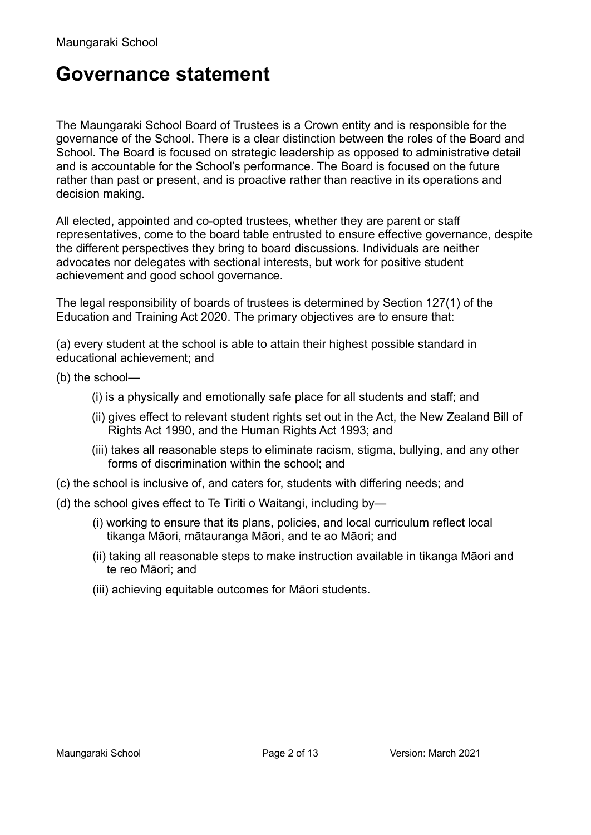### **Governance statement**

The Maungaraki School Board of Trustees is a Crown entity and is responsible for the governance of the School. There is a clear distinction between the roles of the Board and School. The Board is focused on strategic leadership as opposed to administrative detail and is accountable for the School's performance. The Board is focused on the future rather than past or present, and is proactive rather than reactive in its operations and decision making.

All elected, appointed and co-opted trustees, whether they are parent or staff representatives, come to the board table entrusted to ensure effective governance, despite the different perspectives they bring to board discussions. Individuals are neither advocates nor delegates with sectional interests, but work for positive student achievement and good school governance.

The legal responsibility of boards of trustees is determined by Section 127(1) of the Education and Training Act 2020. The primary objectives are to ensure that:

(a) every student at the school is able to attain their highest possible standard in educational achievement; and

- (b) the school—
	- (i) is a physically and emotionally safe place for all students and staff; and
	- (ii) gives effect to relevant student rights set out in the Act, the New Zealand Bill of Rights Act 1990, and the Human Rights Act 1993; and
	- (iii) takes all reasonable steps to eliminate racism, stigma, bullying, and any other forms of discrimination within the school; and
- (c) the school is inclusive of, and caters for, students with differing needs; and
- (d) the school gives effect to Te Tiriti o Waitangi, including by—
	- (i) working to ensure that its plans, policies, and local curriculum reflect local tikanga Māori, mātauranga Māori, and te ao Māori; and
	- (ii) taking all reasonable steps to make instruction available in tikanga Māori and te reo Māori; and
	- (iii) achieving equitable outcomes for Māori students.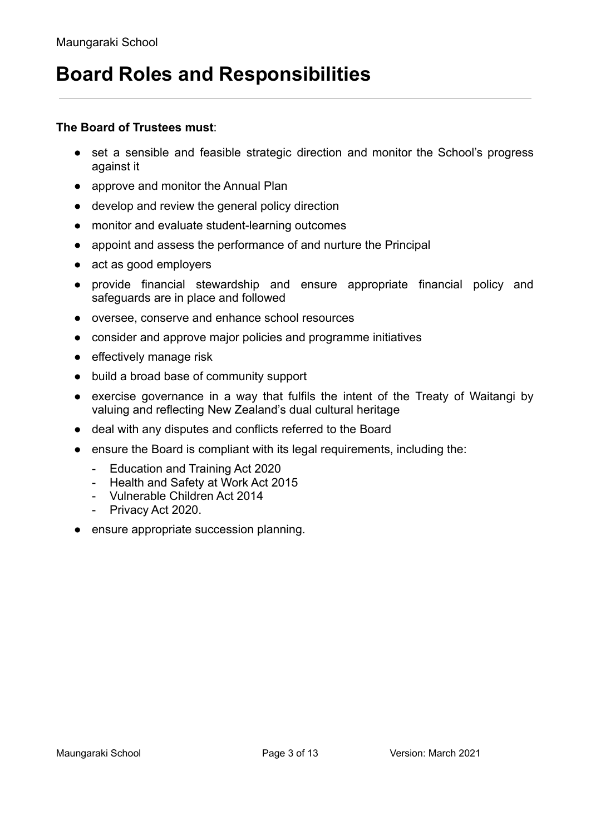## **Board Roles and Responsibilities**

#### **The Board of Trustees must**:

- set a sensible and feasible strategic direction and monitor the School's progress against it
- approve and monitor the Annual Plan
- develop and review the general policy direction
- monitor and evaluate student-learning outcomes
- appoint and assess the performance of and nurture the Principal
- act as good employers
- provide financial stewardship and ensure appropriate financial policy and safeguards are in place and followed
- oversee, conserve and enhance school resources
- consider and approve major policies and programme initiatives
- effectively manage risk
- build a broad base of community support
- exercise governance in a way that fulfils the intent of the Treaty of Waitangi by valuing and reflecting New Zealand's dual cultural heritage
- deal with any disputes and conflicts referred to the Board
- ensure the Board is compliant with its legal requirements, including the:
	- Education and Training Act 2020
	- Health and Safety at Work Act 2015
	- Vulnerable Children Act 2014
	- Privacy Act 2020.
- ensure appropriate succession planning.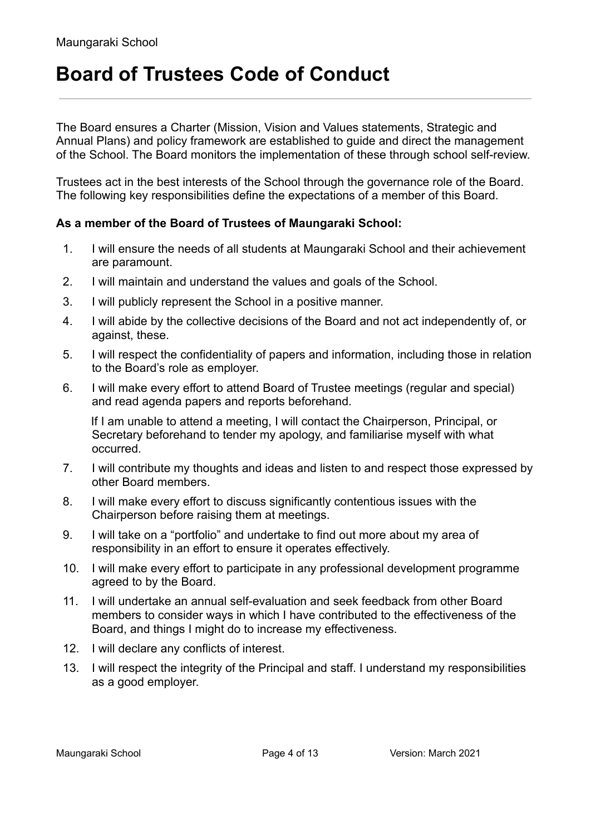# **Board of Trustees Code of Conduct**

The Board ensures a Charter (Mission, Vision and Values statements, Strategic and Annual Plans) and policy framework are established to guide and direct the management of the School. The Board monitors the implementation of these through school self-review.

Trustees act in the best interests of the School through the governance role of the Board. The following key responsibilities define the expectations of a member of this Board.

### **As a member of the Board of Trustees of Maungaraki School:**

- 1. I will ensure the needs of all students at Maungaraki School and their achievement are paramount.
- 2. I will maintain and understand the values and goals of the School.
- 3. I will publicly represent the School in a positive manner.
- 4. I will abide by the collective decisions of the Board and not act independently of, or against, these.
- 5. I will respect the confidentiality of papers and information, including those in relation to the Board's role as employer.
- 6. I will make every effort to attend Board of Trustee meetings (regular and special) and read agenda papers and reports beforehand.

If I am unable to attend a meeting, I will contact the Chairperson, Principal, or Secretary beforehand to tender my apology, and familiarise myself with what occurred.

- 7. I will contribute my thoughts and ideas and listen to and respect those expressed by other Board members.
- 8. I will make every effort to discuss significantly contentious issues with the Chairperson before raising them at meetings.
- 9. I will take on a "portfolio" and undertake to find out more about my area of responsibility in an effort to ensure it operates effectively.
- 10. I will make every effort to participate in any professional development programme agreed to by the Board.
- 11. I will undertake an annual self-evaluation and seek feedback from other Board members to consider ways in which I have contributed to the effectiveness of the Board, and things I might do to increase my effectiveness.
- 12. I will declare any conflicts of interest.
- 13. I will respect the integrity of the Principal and staff. I understand my responsibilities as a good employer.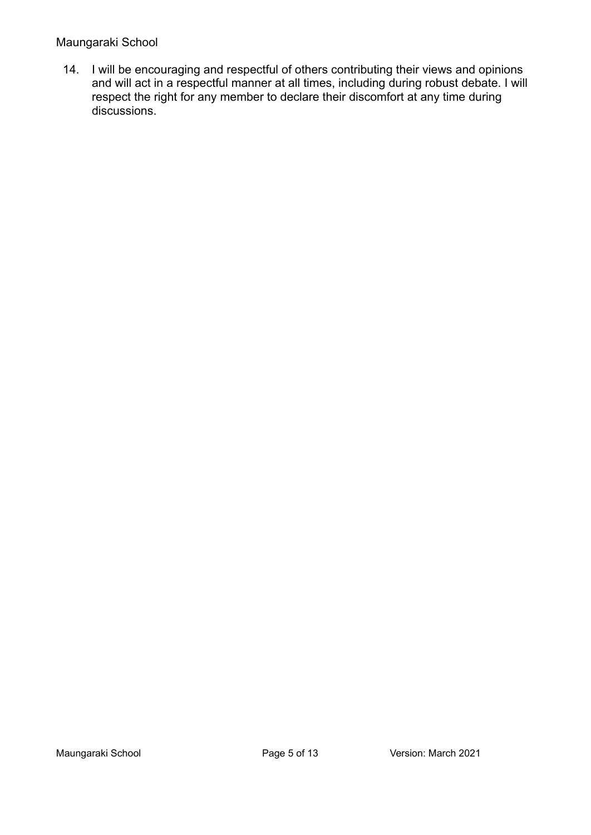#### Maungaraki School

14. I will be encouraging and respectful of others contributing their views and opinions and will act in a respectful manner at all times, including during robust debate. I will respect the right for any member to declare their discomfort at any time during discussions.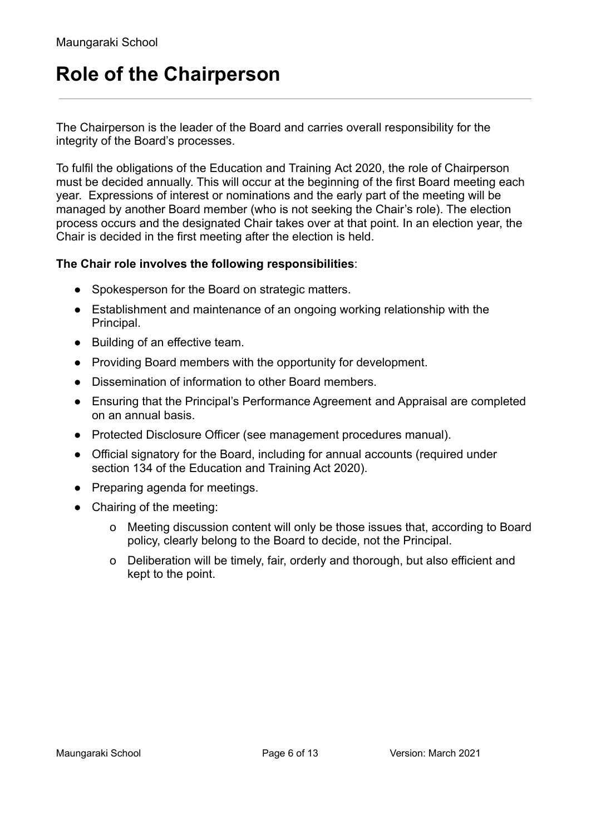# **Role of the Chairperson**

The Chairperson is the leader of the Board and carries overall responsibility for the integrity of the Board's processes.

To fulfil the obligations of the Education and Training Act 2020, the role of Chairperson must be decided annually. This will occur at the beginning of the first Board meeting each year. Expressions of interest or nominations and the early part of the meeting will be managed by another Board member (who is not seeking the Chair's role). The election process occurs and the designated Chair takes over at that point. In an election year, the Chair is decided in the first meeting after the election is held.

#### **The Chair role involves the following responsibilities**:

- Spokesperson for the Board on strategic matters.
- Establishment and maintenance of an ongoing working relationship with the Principal.
- Building of an effective team.
- Providing Board members with the opportunity for development.
- Dissemination of information to other Board members.
- Ensuring that the Principal's Performance Agreement and Appraisal are completed on an annual basis.
- Protected Disclosure Officer (see management procedures manual).
- Official signatory for the Board, including for annual accounts (required under section 134 of the Education and Training Act 2020).
- Preparing agenda for meetings.
- Chairing of the meeting:
	- o Meeting discussion content will only be those issues that, according to Board policy, clearly belong to the Board to decide, not the Principal.
	- o Deliberation will be timely, fair, orderly and thorough, but also efficient and kept to the point.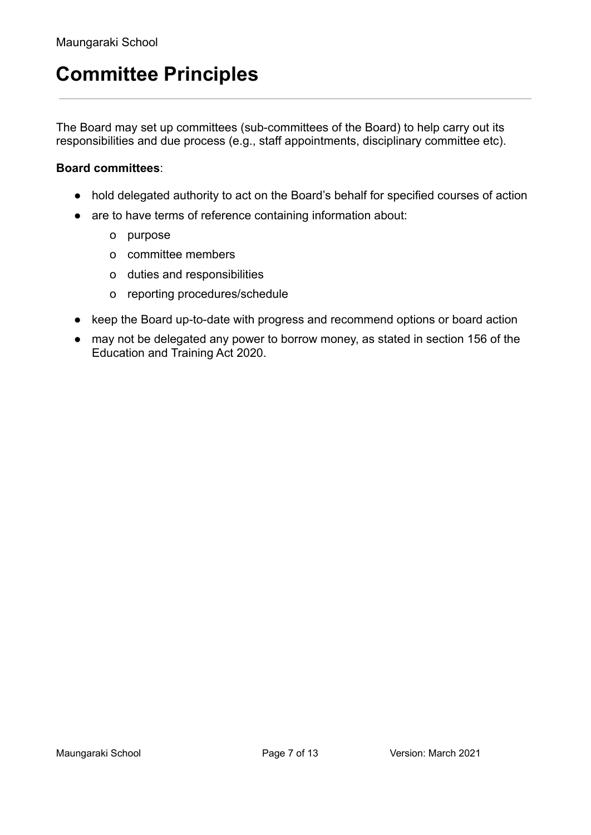## **Committee Principles**

The Board may set up committees (sub-committees of the Board) to help carry out its responsibilities and due process (e.g., staff appointments, disciplinary committee etc).

#### **Board committees**:

- hold delegated authority to act on the Board's behalf for specified courses of action
- are to have terms of reference containing information about:
	- o purpose
	- o committee members
	- o duties and responsibilities
	- o reporting procedures/schedule
- keep the Board up-to-date with progress and recommend options or board action
- may not be delegated any power to borrow money, as stated in section 156 of the Education and Training Act 2020.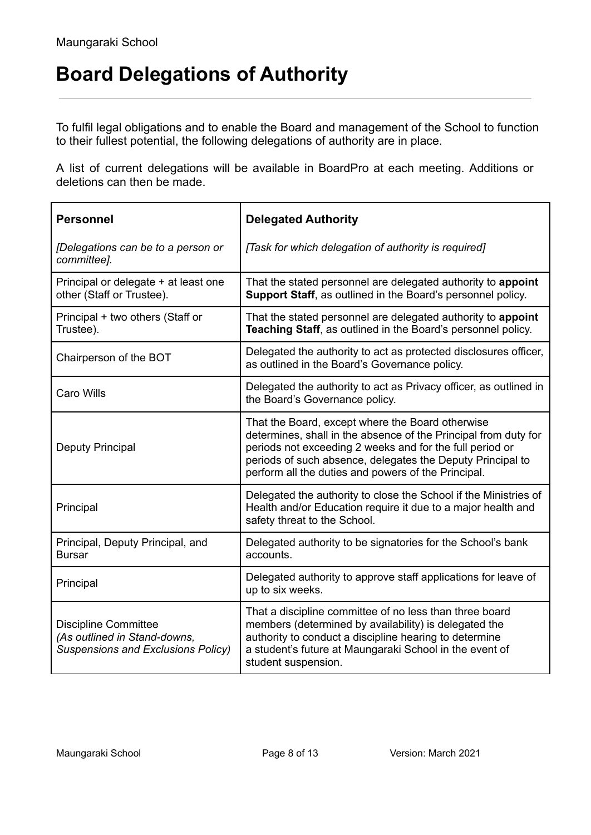# **Board Delegations of Authority**

To fulfil legal obligations and to enable the Board and management of the School to function to their fullest potential, the following delegations of authority are in place.

A list of current delegations will be available in BoardPro at each meeting. Additions or deletions can then be made.

| <b>Personnel</b>                                                                                         | <b>Delegated Authority</b>                                                                                                                                                                                                                                                                           |
|----------------------------------------------------------------------------------------------------------|------------------------------------------------------------------------------------------------------------------------------------------------------------------------------------------------------------------------------------------------------------------------------------------------------|
| [Delegations can be to a person or<br>committee].                                                        | [Task for which delegation of authority is required]                                                                                                                                                                                                                                                 |
| Principal or delegate + at least one<br>other (Staff or Trustee).                                        | That the stated personnel are delegated authority to appoint<br>Support Staff, as outlined in the Board's personnel policy.                                                                                                                                                                          |
| Principal + two others (Staff or<br>Trustee).                                                            | That the stated personnel are delegated authority to appoint<br>Teaching Staff, as outlined in the Board's personnel policy.                                                                                                                                                                         |
| Chairperson of the BOT                                                                                   | Delegated the authority to act as protected disclosures officer,<br>as outlined in the Board's Governance policy.                                                                                                                                                                                    |
| <b>Caro Wills</b>                                                                                        | Delegated the authority to act as Privacy officer, as outlined in<br>the Board's Governance policy.                                                                                                                                                                                                  |
| <b>Deputy Principal</b>                                                                                  | That the Board, except where the Board otherwise<br>determines, shall in the absence of the Principal from duty for<br>periods not exceeding 2 weeks and for the full period or<br>periods of such absence, delegates the Deputy Principal to<br>perform all the duties and powers of the Principal. |
| Principal                                                                                                | Delegated the authority to close the School if the Ministries of<br>Health and/or Education require it due to a major health and<br>safety threat to the School.                                                                                                                                     |
| Principal, Deputy Principal, and<br><b>Bursar</b>                                                        | Delegated authority to be signatories for the School's bank<br>accounts.                                                                                                                                                                                                                             |
| Principal                                                                                                | Delegated authority to approve staff applications for leave of<br>up to six weeks.                                                                                                                                                                                                                   |
| <b>Discipline Committee</b><br>(As outlined in Stand-downs,<br><b>Suspensions and Exclusions Policy)</b> | That a discipline committee of no less than three board<br>members (determined by availability) is delegated the<br>authority to conduct a discipline hearing to determine<br>a student's future at Maungaraki School in the event of<br>student suspension.                                         |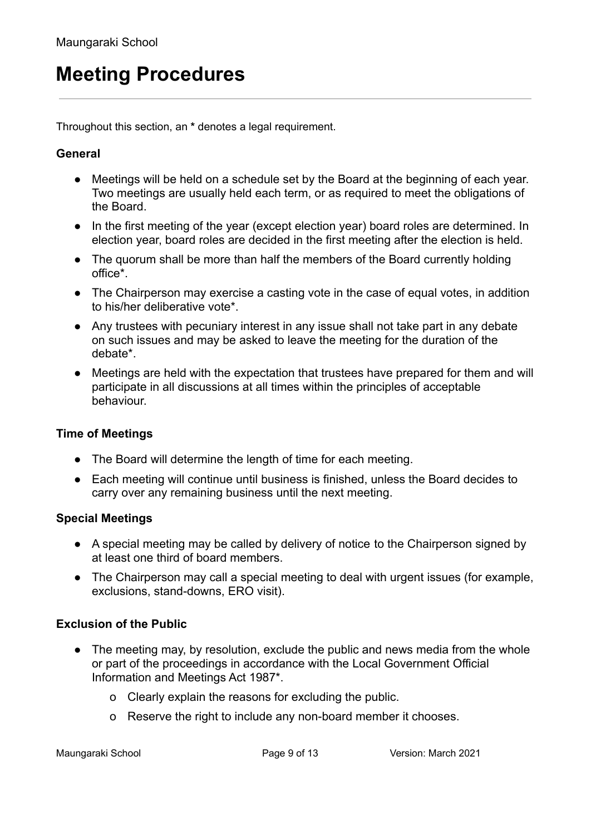## **Meeting Procedures**

Throughout this section, an **\*** denotes a legal requirement.

### **General**

- Meetings will be held on a schedule set by the Board at the beginning of each year. Two meetings are usually held each term, or as required to meet the obligations of the Board.
- In the first meeting of the year (except election year) board roles are determined. In election year, board roles are decided in the first meeting after the election is held.
- The quorum shall be more than half the members of the Board currently holding office\*.
- The Chairperson may exercise a casting vote in the case of equal votes, in addition to his/her deliberative vote\*.
- Any trustees with pecuniary interest in any issue shall not take part in any debate on such issues and may be asked to leave the meeting for the duration of the debate\*.
- Meetings are held with the expectation that trustees have prepared for them and will participate in all discussions at all times within the principles of acceptable behaviour.

### **Time of Meetings**

- The Board will determine the length of time for each meeting.
- Each meeting will continue until business is finished, unless the Board decides to carry over any remaining business until the next meeting.

#### **Special Meetings**

- A special meeting may be called by delivery of notice to the Chairperson signed by at least one third of board members.
- The Chairperson may call a special meeting to deal with urgent issues (for example, exclusions, stand-downs, ERO visit).

### **Exclusion of the Public**

- The meeting may, by resolution, exclude the public and news media from the whole or part of the proceedings in accordance with the Local Government Official Information and Meetings Act 1987\*.
	- o Clearly explain the reasons for excluding the public.
	- o Reserve the right to include any non-board member it chooses.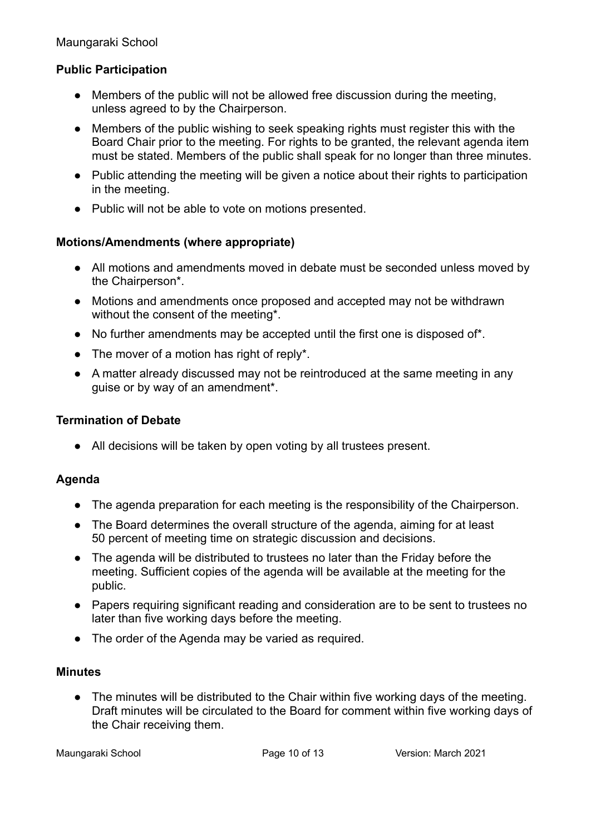Maungaraki School

### **Public Participation**

- Members of the public will not be allowed free discussion during the meeting, unless agreed to by the Chairperson.
- Members of the public wishing to seek speaking rights must register this with the Board Chair prior to the meeting. For rights to be granted, the relevant agenda item must be stated. Members of the public shall speak for no longer than three minutes.
- Public attending the meeting will be given a notice about their rights to participation in the meeting.
- Public will not be able to vote on motions presented.

#### **Motions/Amendments (where appropriate)**

- All motions and amendments moved in debate must be seconded unless moved by the Chairperson\*.
- Motions and amendments once proposed and accepted may not be withdrawn without the consent of the meeting\*.
- No further amendments may be accepted until the first one is disposed of\*.
- $\bullet$  The mover of a motion has right of reply\*.
- A matter already discussed may not be reintroduced at the same meeting in any quise or by way of an amendment<sup>\*</sup>.

#### **Termination of Debate**

• All decisions will be taken by open voting by all trustees present.

### **Agenda**

- The agenda preparation for each meeting is the responsibility of the Chairperson.
- The Board determines the overall structure of the agenda, aiming for at least 50 percent of meeting time on strategic discussion and decisions.
- The agenda will be distributed to trustees no later than the Friday before the meeting. Sufficient copies of the agenda will be available at the meeting for the public.
- Papers requiring significant reading and consideration are to be sent to trustees no later than five working days before the meeting.
- The order of the Agenda may be varied as required.

#### **Minutes**

• The minutes will be distributed to the Chair within five working days of the meeting. Draft minutes will be circulated to the Board for comment within five working days of the Chair receiving them.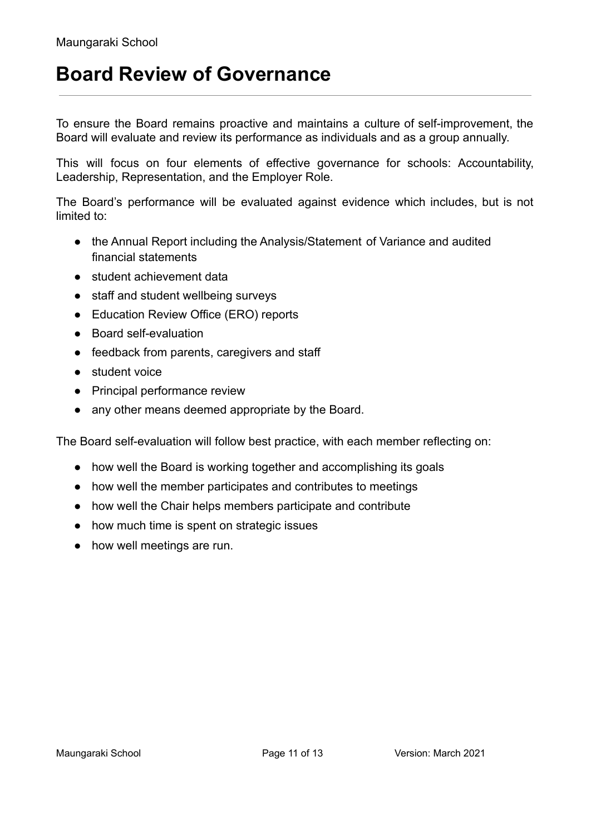### **Board Review of Governance**

To ensure the Board remains proactive and maintains a culture of self-improvement, the Board will evaluate and review its performance as individuals and as a group annually.

This will focus on four elements of effective governance for schools: Accountability, Leadership, Representation, and the Employer Role.

The Board's performance will be evaluated against evidence which includes, but is not limited to:

- the Annual Report including the Analysis/Statement of Variance and audited financial statements
- student achievement data
- staff and student wellbeing surveys
- Education Review Office (ERO) reports
- Board self-evaluation
- feedback from parents, caregivers and staff
- student voice
- Principal performance review
- any other means deemed appropriate by the Board.

The Board self-evaluation will follow best practice, with each member reflecting on:

- how well the Board is working together and accomplishing its goals
- how well the member participates and contributes to meetings
- how well the Chair helps members participate and contribute
- how much time is spent on strategic issues
- how well meetings are run.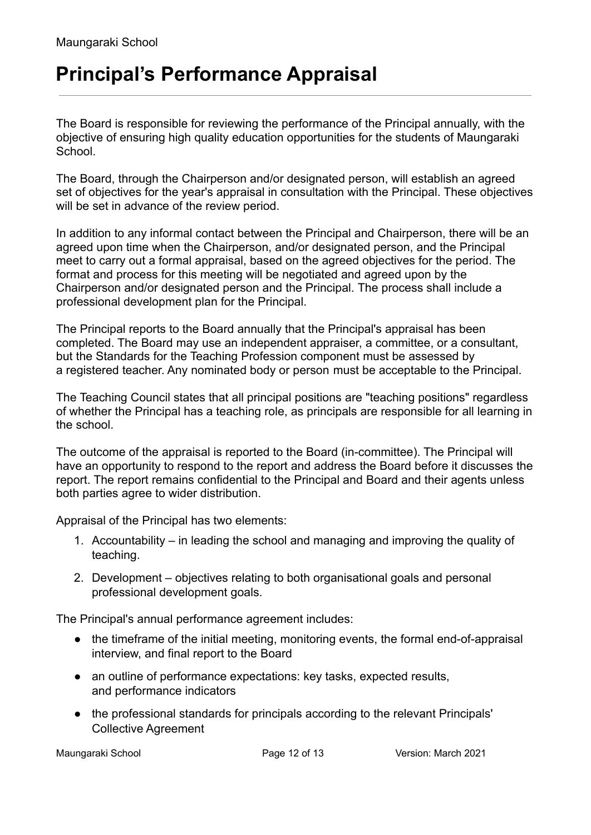## **Principal's Performance Appraisal**

The Board is responsible for reviewing the performance of the Principal annually, with the objective of ensuring high quality education opportunities for the students of Maungaraki **School** 

The Board, through the Chairperson and/or designated person, will establish an agreed set of objectives for the year's appraisal in consultation with the Principal. These objectives will be set in advance of the review period.

In addition to any informal contact between the Principal and Chairperson, there will be an agreed upon time when the Chairperson, and/or designated person, and the Principal meet to carry out a formal appraisal, based on the agreed objectives for the period. The format and process for this meeting will be negotiated and agreed upon by the Chairperson and/or designated person and the Principal. The process shall include a professional development plan for the Principal.

The Principal reports to the Board annually that the Principal's appraisal has been completed. The Board may use an independent appraiser, a committee, or a consultant, but the Standards for the Teaching Profession component must be assessed by a registered teacher. Any nominated body or person must be acceptable to the Principal.

The Teaching Council states that all principal positions are "teaching positions" regardless of whether the Principal has a teaching role, as principals are responsible for all learning in the school.

The outcome of the appraisal is reported to the Board (in-committee). The Principal will have an opportunity to respond to the report and address the Board before it discusses the report. The report remains confidential to the Principal and Board and their agents unless both parties agree to wider distribution.

Appraisal of the Principal has two elements:

- 1. Accountability in leading the school and managing and improving the quality of teaching.
- 2. Development objectives relating to both organisational goals and personal professional development goals.

The Principal's annual performance agreement includes:

- the timeframe of the initial meeting, monitoring events, the formal end-of-appraisal interview, and final report to the Board
- an outline of performance expectations: key tasks, expected results, and performance indicators
- the professional standards for principals according to the relevant Principals' Collective Agreement